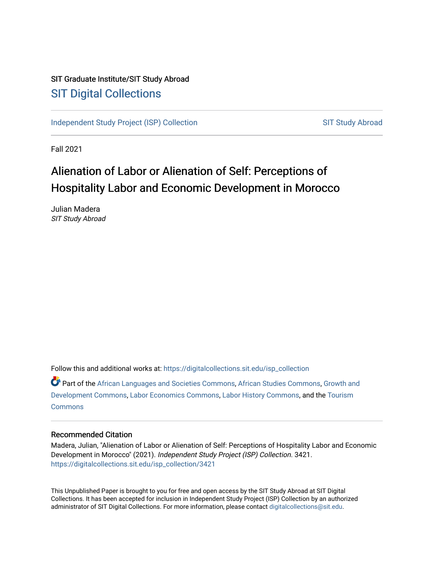### SIT Graduate Institute/SIT Study Abroad [SIT Digital Collections](https://digitalcollections.sit.edu/)

[Independent Study Project \(ISP\) Collection](https://digitalcollections.sit.edu/isp_collection) [SIT Study Abroad](https://digitalcollections.sit.edu/study_abroad) SIT Study Abroad

Fall 2021

# Alienation of Labor or Alienation of Self: Perceptions of Hospitality Labor and Economic Development in Morocco

Julian Madera SIT Study Abroad

Follow this and additional works at: [https://digitalcollections.sit.edu/isp\\_collection](https://digitalcollections.sit.edu/isp_collection?utm_source=digitalcollections.sit.edu%2Fisp_collection%2F3421&utm_medium=PDF&utm_campaign=PDFCoverPages) 

Part of the [African Languages and Societies Commons,](https://network.bepress.com/hgg/discipline/476?utm_source=digitalcollections.sit.edu%2Fisp_collection%2F3421&utm_medium=PDF&utm_campaign=PDFCoverPages) [African Studies Commons](https://network.bepress.com/hgg/discipline/1043?utm_source=digitalcollections.sit.edu%2Fisp_collection%2F3421&utm_medium=PDF&utm_campaign=PDFCoverPages), [Growth and](https://network.bepress.com/hgg/discipline/346?utm_source=digitalcollections.sit.edu%2Fisp_collection%2F3421&utm_medium=PDF&utm_campaign=PDFCoverPages)  [Development Commons](https://network.bepress.com/hgg/discipline/346?utm_source=digitalcollections.sit.edu%2Fisp_collection%2F3421&utm_medium=PDF&utm_campaign=PDFCoverPages), [Labor Economics Commons](https://network.bepress.com/hgg/discipline/349?utm_source=digitalcollections.sit.edu%2Fisp_collection%2F3421&utm_medium=PDF&utm_campaign=PDFCoverPages), [Labor History Commons](https://network.bepress.com/hgg/discipline/1254?utm_source=digitalcollections.sit.edu%2Fisp_collection%2F3421&utm_medium=PDF&utm_campaign=PDFCoverPages), and the [Tourism](https://network.bepress.com/hgg/discipline/1022?utm_source=digitalcollections.sit.edu%2Fisp_collection%2F3421&utm_medium=PDF&utm_campaign=PDFCoverPages)  **[Commons](https://network.bepress.com/hgg/discipline/1022?utm_source=digitalcollections.sit.edu%2Fisp_collection%2F3421&utm_medium=PDF&utm_campaign=PDFCoverPages)** 

#### Recommended Citation

Madera, Julian, "Alienation of Labor or Alienation of Self: Perceptions of Hospitality Labor and Economic Development in Morocco" (2021). Independent Study Project (ISP) Collection. 3421. [https://digitalcollections.sit.edu/isp\\_collection/3421](https://digitalcollections.sit.edu/isp_collection/3421?utm_source=digitalcollections.sit.edu%2Fisp_collection%2F3421&utm_medium=PDF&utm_campaign=PDFCoverPages) 

This Unpublished Paper is brought to you for free and open access by the SIT Study Abroad at SIT Digital Collections. It has been accepted for inclusion in Independent Study Project (ISP) Collection by an authorized administrator of SIT Digital Collections. For more information, please contact [digitalcollections@sit.edu](mailto:digitalcollections@sit.edu).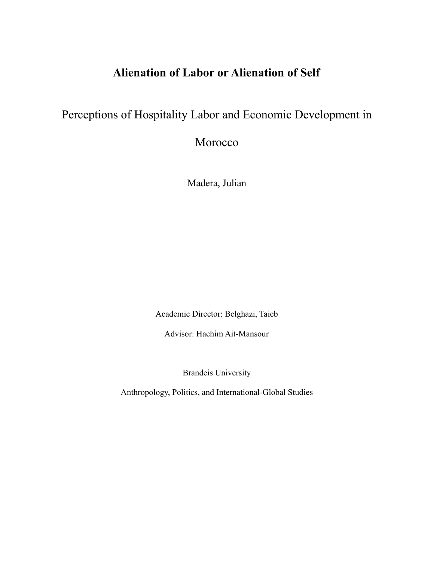## **Alienation of Labor or Alienation of Self**

### Perceptions of Hospitality Labor and Economic Development in

Morocco

Madera, Julian

Academic Director: Belghazi, Taieb

Advisor: Hachim Ait-Mansour

Brandeis University

Anthropology, Politics, and International-Global Studies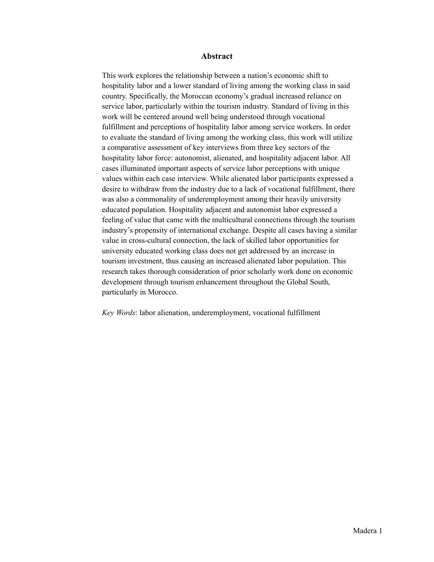#### **Abstract**

This work explores the relationship between a nation's economic shift to hospitality labor and a lower standard of living among the working class in said country. Specifically, the Moroccan economy's gradual increased reliance on service labor, particularly within the tourism industry. Standard of living in this work will be centered around well being understood through vocational fulfillment and perceptions of hospitality labor among service workers. In order to evaluate the standard of living among the working class, this work will utilize a comparative assessment of key interviews from three key sectors of the hospitality labor force: autonomist, alienated, and hospitality adjacent labor. All cases illuminated important aspects of service labor perceptions with unique values within each case interview. While alienated labor participants expressed a desire to withdraw from the industry due to a lack of vocational fulfillment, there was also a commonality of underemployment among their heavily university educated population. Hospitality adjacent and autonomist labor expressed a feeling of value that came with the multicultural connections through the tourism industry's propensity of international exchange. Despite all cases having a similar value in cross-cultural connection, the lack of skilled labor opportunities for university educated working class does not get addressed by an increase in tourism investment, thus causing an increased alienated labor population. This research takes thorough consideration of prior scholarly work done on economic development through tourism enhancement throughout the Global South, particularly in Morocco.

*Key Words*: labor alienation, underemployment, vocational fulfillment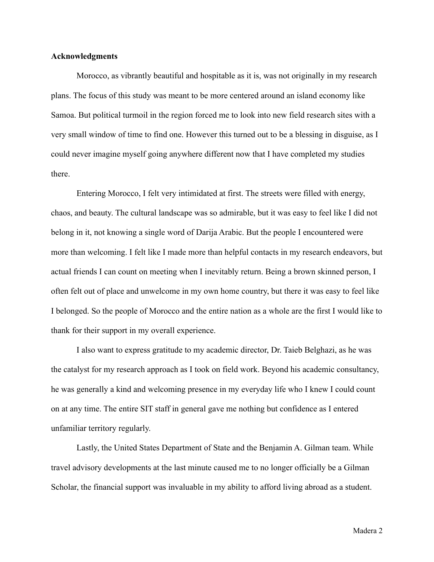#### **Acknowledgments**

Morocco, as vibrantly beautiful and hospitable as it is, was not originally in my research plans. The focus of this study was meant to be more centered around an island economy like Samoa. But political turmoil in the region forced me to look into new field research sites with a very small window of time to find one. However this turned out to be a blessing in disguise, as I could never imagine myself going anywhere different now that I have completed my studies there.

Entering Morocco, I felt very intimidated at first. The streets were filled with energy, chaos, and beauty. The cultural landscape was so admirable, but it was easy to feel like I did not belong in it, not knowing a single word of Darija Arabic. But the people I encountered were more than welcoming. I felt like I made more than helpful contacts in my research endeavors, but actual friends I can count on meeting when I inevitably return. Being a brown skinned person, I often felt out of place and unwelcome in my own home country, but there it was easy to feel like I belonged. So the people of Morocco and the entire nation as a whole are the first I would like to thank for their support in my overall experience.

I also want to express gratitude to my academic director, Dr. Taieb Belghazi, as he was the catalyst for my research approach as I took on field work. Beyond his academic consultancy, he was generally a kind and welcoming presence in my everyday life who I knew I could count on at any time. The entire SIT staff in general gave me nothing but confidence as I entered unfamiliar territory regularly.

Lastly, the United States Department of State and the Benjamin A. Gilman team. While travel advisory developments at the last minute caused me to no longer officially be a Gilman Scholar, the financial support was invaluable in my ability to afford living abroad as a student.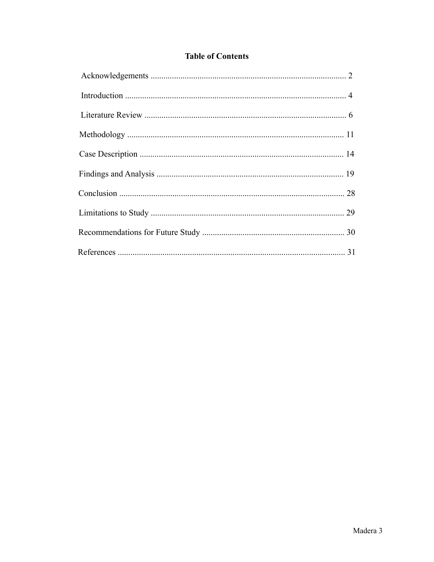### **Table of Contents**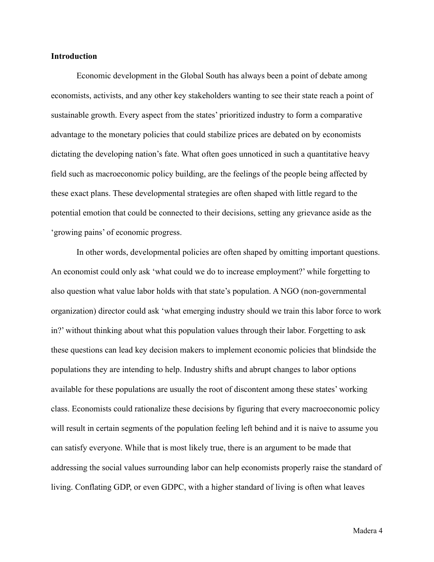#### **Introduction**

Economic development in the Global South has always been a point of debate among economists, activists, and any other key stakeholders wanting to see their state reach a point of sustainable growth. Every aspect from the states' prioritized industry to form a comparative advantage to the monetary policies that could stabilize prices are debated on by economists dictating the developing nation's fate. What often goes unnoticed in such a quantitative heavy field such as macroeconomic policy building, are the feelings of the people being affected by these exact plans. These developmental strategies are often shaped with little regard to the potential emotion that could be connected to their decisions, setting any grievance aside as the 'growing pains' of economic progress.

In other words, developmental policies are often shaped by omitting important questions. An economist could only ask 'what could we do to increase employment?' while forgetting to also question what value labor holds with that state's population. A NGO (non-governmental organization) director could ask 'what emerging industry should we train this labor force to work in?' without thinking about what this population values through their labor. Forgetting to ask these questions can lead key decision makers to implement economic policies that blindside the populations they are intending to help. Industry shifts and abrupt changes to labor options available for these populations are usually the root of discontent among these states' working class. Economists could rationalize these decisions by figuring that every macroeconomic policy will result in certain segments of the population feeling left behind and it is naive to assume you can satisfy everyone. While that is most likely true, there is an argument to be made that addressing the social values surrounding labor can help economists properly raise the standard of living. Conflating GDP, or even GDPC, with a higher standard of living is often what leaves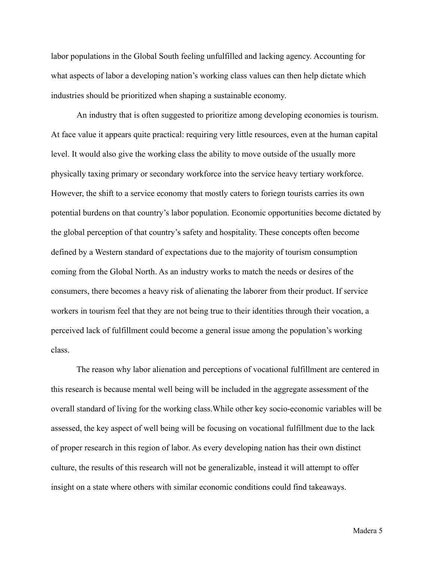labor populations in the Global South feeling unfulfilled and lacking agency. Accounting for what aspects of labor a developing nation's working class values can then help dictate which industries should be prioritized when shaping a sustainable economy.

An industry that is often suggested to prioritize among developing economies is tourism. At face value it appears quite practical: requiring very little resources, even at the human capital level. It would also give the working class the ability to move outside of the usually more physically taxing primary or secondary workforce into the service heavy tertiary workforce. However, the shift to a service economy that mostly caters to foriegn tourists carries its own potential burdens on that country's labor population. Economic opportunities become dictated by the global perception of that country's safety and hospitality. These concepts often become defined by a Western standard of expectations due to the majority of tourism consumption coming from the Global North. As an industry works to match the needs or desires of the consumers, there becomes a heavy risk of alienating the laborer from their product. If service workers in tourism feel that they are not being true to their identities through their vocation, a perceived lack of fulfillment could become a general issue among the population's working class.

The reason why labor alienation and perceptions of vocational fulfillment are centered in this research is because mental well being will be included in the aggregate assessment of the overall standard of living for the working class.While other key socio-economic variables will be assessed, the key aspect of well being will be focusing on vocational fulfillment due to the lack of proper research in this region of labor. As every developing nation has their own distinct culture, the results of this research will not be generalizable, instead it will attempt to offer insight on a state where others with similar economic conditions could find takeaways.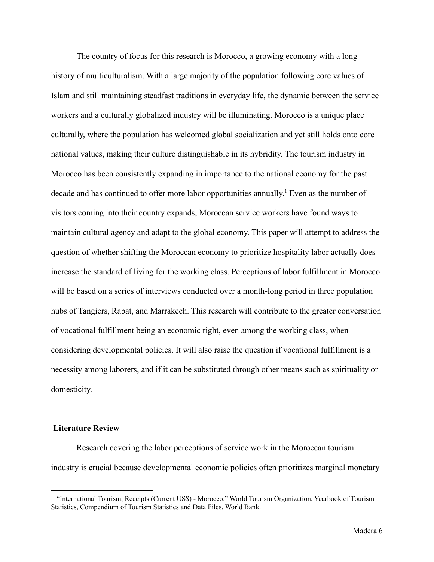The country of focus for this research is Morocco, a growing economy with a long history of multiculturalism. With a large majority of the population following core values of Islam and still maintaining steadfast traditions in everyday life, the dynamic between the service workers and a culturally globalized industry will be illuminating. Morocco is a unique place culturally, where the population has welcomed global socialization and yet still holds onto core national values, making their culture distinguishable in its hybridity. The tourism industry in Morocco has been consistently expanding in importance to the national economy for the past decade and has continued to offer more labor opportunities annually. <sup>1</sup> Even as the number of visitors coming into their country expands, Moroccan service workers have found ways to maintain cultural agency and adapt to the global economy. This paper will attempt to address the question of whether shifting the Moroccan economy to prioritize hospitality labor actually does increase the standard of living for the working class. Perceptions of labor fulfillment in Morocco will be based on a series of interviews conducted over a month-long period in three population hubs of Tangiers, Rabat, and Marrakech. This research will contribute to the greater conversation of vocational fulfillment being an economic right, even among the working class, when considering developmental policies. It will also raise the question if vocational fulfillment is a necessity among laborers, and if it can be substituted through other means such as spirituality or domesticity.

#### **Literature Review**

Research covering the labor perceptions of service work in the Moroccan tourism industry is crucial because developmental economic policies often prioritizes marginal monetary

<sup>&</sup>lt;sup>1</sup> "International Tourism, Receipts (Current US\$) - Morocco." World Tourism Organization, Yearbook of Tourism Statistics, Compendium of Tourism Statistics and Data Files, World Bank.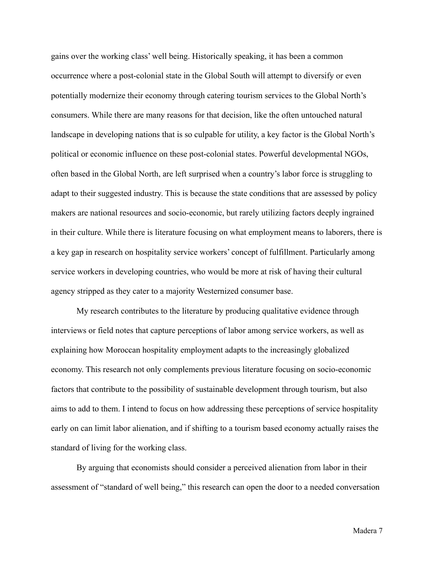gains over the working class' well being. Historically speaking, it has been a common occurrence where a post-colonial state in the Global South will attempt to diversify or even potentially modernize their economy through catering tourism services to the Global North's consumers. While there are many reasons for that decision, like the often untouched natural landscape in developing nations that is so culpable for utility, a key factor is the Global North's political or economic influence on these post-colonial states. Powerful developmental NGOs, often based in the Global North, are left surprised when a country's labor force is struggling to adapt to their suggested industry. This is because the state conditions that are assessed by policy makers are national resources and socio-economic, but rarely utilizing factors deeply ingrained in their culture. While there is literature focusing on what employment means to laborers, there is a key gap in research on hospitality service workers' concept of fulfillment. Particularly among service workers in developing countries, who would be more at risk of having their cultural agency stripped as they cater to a majority Westernized consumer base.

My research contributes to the literature by producing qualitative evidence through interviews or field notes that capture perceptions of labor among service workers, as well as explaining how Moroccan hospitality employment adapts to the increasingly globalized economy. This research not only complements previous literature focusing on socio-economic factors that contribute to the possibility of sustainable development through tourism, but also aims to add to them. I intend to focus on how addressing these perceptions of service hospitality early on can limit labor alienation, and if shifting to a tourism based economy actually raises the standard of living for the working class.

By arguing that economists should consider a perceived alienation from labor in their assessment of "standard of well being," this research can open the door to a needed conversation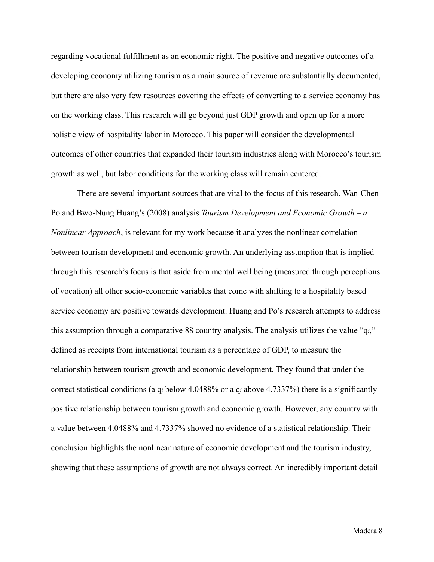regarding vocational fulfillment as an economic right. The positive and negative outcomes of a developing economy utilizing tourism as a main source of revenue are substantially documented, but there are also very few resources covering the effects of converting to a service economy has on the working class. This research will go beyond just GDP growth and open up for a more holistic view of hospitality labor in Morocco. This paper will consider the developmental outcomes of other countries that expanded their tourism industries along with Morocco's tourism growth as well, but labor conditions for the working class will remain centered.

There are several important sources that are vital to the focus of this research. Wan-Chen Po and Bwo-Nung Huang's (2008) analysis *Tourism Development and Economic Growth – a Nonlinear Approach*, is relevant for my work because it analyzes the nonlinear correlation between tourism development and economic growth. An underlying assumption that is implied through this research's focus is that aside from mental well being (measured through perceptions of vocation) all other socio-economic variables that come with shifting to a hospitality based service economy are positive towards development. Huang and Po's research attempts to address this assumption through a comparative 88 country analysis. The analysis utilizes the value "q*i*," defined as receipts from international tourism as a percentage of GDP, to measure the relationship between tourism growth and economic development. They found that under the correct statistical conditions (a q*<sup>i</sup>* below 4.0488% or a q*<sup>i</sup>* above 4.7337%) there is a significantly positive relationship between tourism growth and economic growth. However, any country with a value between 4.0488% and 4.7337% showed no evidence of a statistical relationship. Their conclusion highlights the nonlinear nature of economic development and the tourism industry, showing that these assumptions of growth are not always correct. An incredibly important detail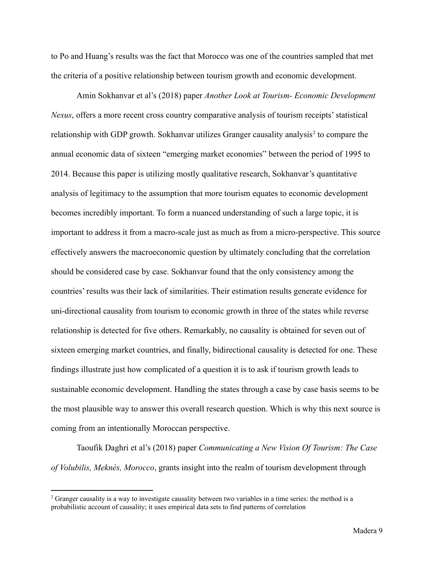to Po and Huang's results was the fact that Morocco was one of the countries sampled that met the criteria of a positive relationship between tourism growth and economic development.

Amin Sokhanvar et al's (2018) paper *Another Look at Tourism- Economic Development Nexus*, offers a more recent cross country comparative analysis of tourism receipts' statistical relationship with GDP growth. Sokhanvar utilizes Granger causality analysis<sup>2</sup> to compare the annual economic data of sixteen "emerging market economies" between the period of 1995 to 2014. Because this paper is utilizing mostly qualitative research, Sokhanvar's quantitative analysis of legitimacy to the assumption that more tourism equates to economic development becomes incredibly important. To form a nuanced understanding of such a large topic, it is important to address it from a macro-scale just as much as from a micro-perspective. This source effectively answers the macroeconomic question by ultimately concluding that the correlation should be considered case by case. Sokhanvar found that the only consistency among the countries' results was their lack of similarities. Their estimation results generate evidence for uni-directional causality from tourism to economic growth in three of the states while reverse relationship is detected for five others. Remarkably, no causality is obtained for seven out of sixteen emerging market countries, and finally, bidirectional causality is detected for one. These findings illustrate just how complicated of a question it is to ask if tourism growth leads to sustainable economic development. Handling the states through a case by case basis seems to be the most plausible way to answer this overall research question. Which is why this next source is coming from an intentionally Moroccan perspective.

Taoufik Daghri et al's (2018) paper *Communicating a New Vision Of Tourism: The Case of Volubilis, Meknès, Morocco*, grants insight into the realm of tourism development through

<sup>&</sup>lt;sup>2</sup> Granger causality is a way to investigate causality between two variables in a time series: the method is a probabilistic account of causality; it uses empirical data sets to find patterns of correlation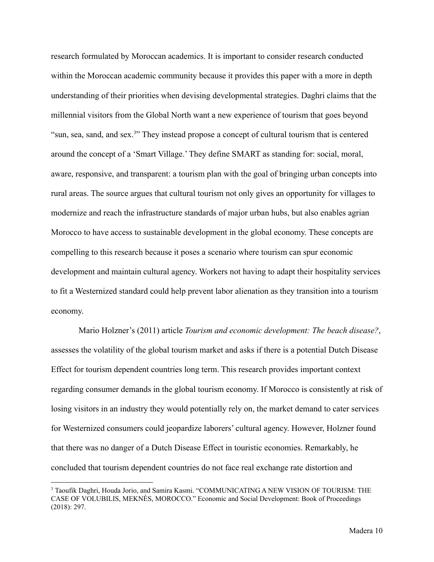research formulated by Moroccan academics. It is important to consider research conducted within the Moroccan academic community because it provides this paper with a more in depth understanding of their priorities when devising developmental strategies. Daghri claims that the millennial visitors from the Global North want a new experience of tourism that goes beyond "sun, sea, sand, and sex.<sup>3"</sup> They instead propose a concept of cultural tourism that is centered around the concept of a 'Smart Village.' They define SMART as standing for: social, moral, aware, responsive, and transparent: a tourism plan with the goal of bringing urban concepts into rural areas. The source argues that cultural tourism not only gives an opportunity for villages to modernize and reach the infrastructure standards of major urban hubs, but also enables agrian Morocco to have access to sustainable development in the global economy. These concepts are compelling to this research because it poses a scenario where tourism can spur economic development and maintain cultural agency. Workers not having to adapt their hospitality services to fit a Westernized standard could help prevent labor alienation as they transition into a tourism economy.

Mario Holzner's (2011) article *Tourism and economic development: The beach disease?*, assesses the volatility of the global tourism market and asks if there is a potential Dutch Disease Effect for tourism dependent countries long term. This research provides important context regarding consumer demands in the global tourism economy. If Morocco is consistently at risk of losing visitors in an industry they would potentially rely on, the market demand to cater services for Westernized consumers could jeopardize laborers' cultural agency. However, Holzner found that there was no danger of a Dutch Disease Effect in touristic economies. Remarkably, he concluded that tourism dependent countries do not face real exchange rate distortion and

<sup>&</sup>lt;sup>3</sup> Taoufik Daghri, Houda Jorio, and Samira Kasmi. "COMMUNICATING A NEW VISION OF TOURISM: THE CASE OF VOLUBILIS, MEKNÈS, MOROCCO." Economic and Social Development: Book of Proceedings (2018): 297.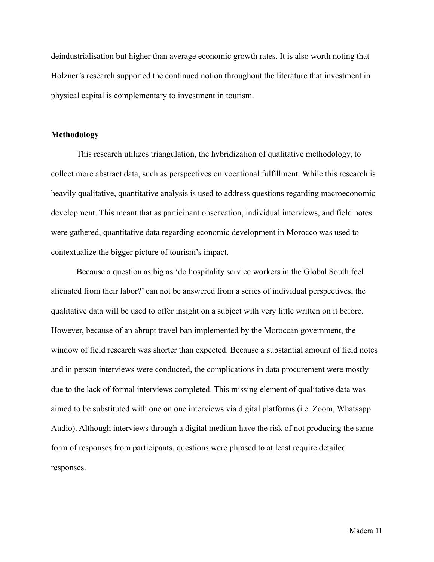deindustrialisation but higher than average economic growth rates. It is also worth noting that Holzner's research supported the continued notion throughout the literature that investment in physical capital is complementary to investment in tourism.

#### **Methodology**

This research utilizes triangulation, the hybridization of qualitative methodology, to collect more abstract data, such as perspectives on vocational fulfillment. While this research is heavily qualitative, quantitative analysis is used to address questions regarding macroeconomic development. This meant that as participant observation, individual interviews, and field notes were gathered, quantitative data regarding economic development in Morocco was used to contextualize the bigger picture of tourism's impact.

Because a question as big as 'do hospitality service workers in the Global South feel alienated from their labor?' can not be answered from a series of individual perspectives, the qualitative data will be used to offer insight on a subject with very little written on it before. However, because of an abrupt travel ban implemented by the Moroccan government, the window of field research was shorter than expected. Because a substantial amount of field notes and in person interviews were conducted, the complications in data procurement were mostly due to the lack of formal interviews completed. This missing element of qualitative data was aimed to be substituted with one on one interviews via digital platforms (i.e. Zoom, Whatsapp Audio). Although interviews through a digital medium have the risk of not producing the same form of responses from participants, questions were phrased to at least require detailed responses.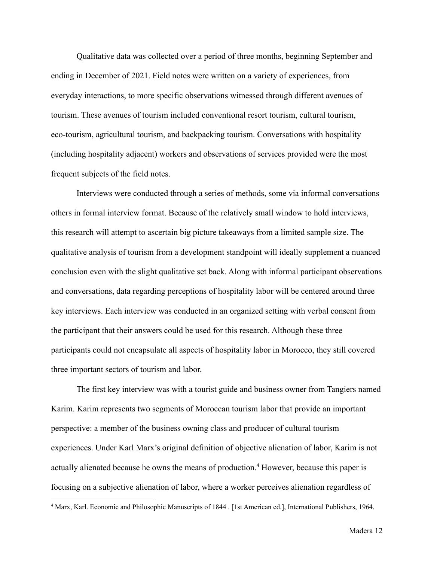Qualitative data was collected over a period of three months, beginning September and ending in December of 2021. Field notes were written on a variety of experiences, from everyday interactions, to more specific observations witnessed through different avenues of tourism. These avenues of tourism included conventional resort tourism, cultural tourism, eco-tourism, agricultural tourism, and backpacking tourism. Conversations with hospitality (including hospitality adjacent) workers and observations of services provided were the most frequent subjects of the field notes.

Interviews were conducted through a series of methods, some via informal conversations others in formal interview format. Because of the relatively small window to hold interviews, this research will attempt to ascertain big picture takeaways from a limited sample size. The qualitative analysis of tourism from a development standpoint will ideally supplement a nuanced conclusion even with the slight qualitative set back. Along with informal participant observations and conversations, data regarding perceptions of hospitality labor will be centered around three key interviews. Each interview was conducted in an organized setting with verbal consent from the participant that their answers could be used for this research. Although these three participants could not encapsulate all aspects of hospitality labor in Morocco, they still covered three important sectors of tourism and labor.

The first key interview was with a tourist guide and business owner from Tangiers named Karim. Karim represents two segments of Moroccan tourism labor that provide an important perspective: a member of the business owning class and producer of cultural tourism experiences. Under Karl Marx's original definition of objective alienation of labor, Karim is not actually alienated because he owns the means of production.<sup>4</sup> However, because this paper is focusing on a subjective alienation of labor, where a worker perceives alienation regardless of

<sup>4</sup> Marx, Karl. Economic and Philosophic Manuscripts of 1844 . [1st American ed.], International Publishers, 1964.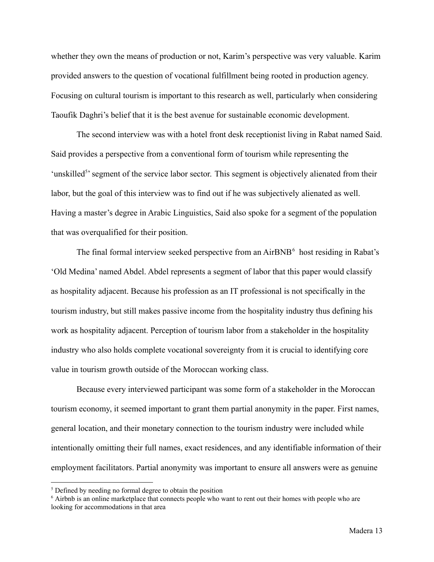whether they own the means of production or not, Karim's perspective was very valuable. Karim provided answers to the question of vocational fulfillment being rooted in production agency. Focusing on cultural tourism is important to this research as well, particularly when considering Taoufik Daghri's belief that it is the best avenue for sustainable economic development.

The second interview was with a hotel front desk receptionist living in Rabat named Said. Said provides a perspective from a conventional form of tourism while representing the 'unskilled<sup>5</sup>' segment of the service labor sector. This segment is objectively alienated from their labor, but the goal of this interview was to find out if he was subjectively alienated as well. Having a master's degree in Arabic Linguistics, Said also spoke for a segment of the population that was overqualified for their position.

The final formal interview seeked perspective from an  $AirBNB<sup>6</sup>$  host residing in Rabat's 'Old Medina' named Abdel. Abdel represents a segment of labor that this paper would classify as hospitality adjacent. Because his profession as an IT professional is not specifically in the tourism industry, but still makes passive income from the hospitality industry thus defining his work as hospitality adjacent. Perception of tourism labor from a stakeholder in the hospitality industry who also holds complete vocational sovereignty from it is crucial to identifying core value in tourism growth outside of the Moroccan working class.

Because every interviewed participant was some form of a stakeholder in the Moroccan tourism economy, it seemed important to grant them partial anonymity in the paper. First names, general location, and their monetary connection to the tourism industry were included while intentionally omitting their full names, exact residences, and any identifiable information of their employment facilitators. Partial anonymity was important to ensure all answers were as genuine

<sup>&</sup>lt;sup>5</sup> Defined by needing no formal degree to obtain the position

<sup>6</sup> Airbnb is an online marketplace that connects people who want to rent out their homes with people who are looking for accommodations in that area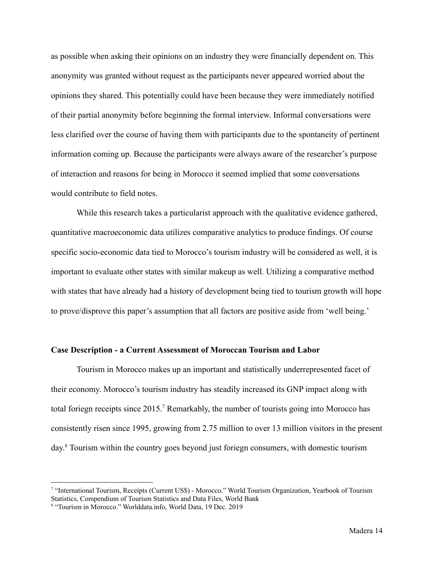as possible when asking their opinions on an industry they were financially dependent on. This anonymity was granted without request as the participants never appeared worried about the opinions they shared. This potentially could have been because they were immediately notified of their partial anonymity before beginning the formal interview. Informal conversations were less clarified over the course of having them with participants due to the spontaneity of pertinent information coming up. Because the participants were always aware of the researcher's purpose of interaction and reasons for being in Morocco it seemed implied that some conversations would contribute to field notes.

While this research takes a particularist approach with the qualitative evidence gathered, quantitative macroeconomic data utilizes comparative analytics to produce findings. Of course specific socio-economic data tied to Morocco's tourism industry will be considered as well, it is important to evaluate other states with similar makeup as well. Utilizing a comparative method with states that have already had a history of development being tied to tourism growth will hope to prove/disprove this paper's assumption that all factors are positive aside from 'well being.'

#### **Case Description - a Current Assessment of Moroccan Tourism and Labor**

Tourism in Morocco makes up an important and statistically underrepresented facet of their economy. Morocco's tourism industry has steadily increased its GNP impact along with total foriegn receipts since 2015.<sup>7</sup> Remarkably, the number of tourists going into Morocco has consistently risen since 1995, growing from 2.75 million to over 13 million visitors in the present day. <sup>8</sup> Tourism within the country goes beyond just foriegn consumers, with domestic tourism

<sup>7</sup> "International Tourism, Receipts (Current US\$) - Morocco." World Tourism Organization, Yearbook of Tourism Statistics, Compendium of Tourism Statistics and Data Files, World Bank

<sup>8</sup> "Tourism in Morocco." Worlddata.info, World Data, 19 Dec. 2019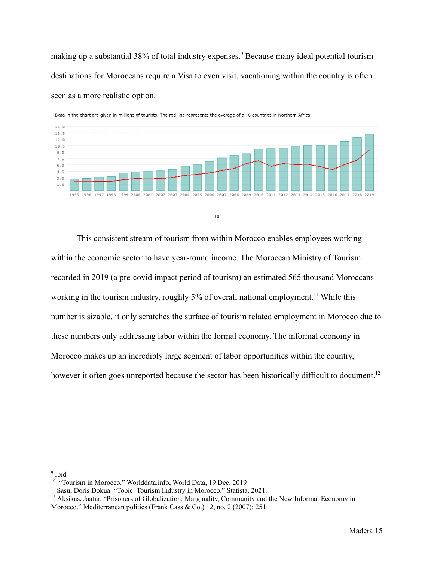making up a substantial 38% of total industry expenses.<sup>9</sup> Because many ideal potential tourism destinations for Moroccans require a Visa to even visit, vacationing within the country is often seen as a more realistic option.



Data in the chart are given in millions of tourists. The red line represents the average of all 6 countries in Northern Africa.

```
10
```
This consistent stream of tourism from within Morocco enables employees working within the economic sector to have year-round income. The Moroccan Ministry of Tourism recorded in 2019 (a pre-covid impact period of tourism) an estimated 565 thousand Moroccans working in the tourism industry, roughly 5% of overall national employment.<sup>11</sup> While this number is sizable, it only scratches the surface of tourism related employment in Morocco due to these numbers only addressing labor within the formal economy. The informal economy in Morocco makes up an incredibly large segment of labor opportunities within the country, however it often goes unreported because the sector has been historically difficult to document.<sup>12</sup>

<sup>9</sup> Ibid

<sup>&</sup>lt;sup>10</sup> "Tourism in Morocco." Worlddata.info, World Data, 19 Dec. 2019

<sup>&</sup>lt;sup>11</sup> Sasu, Doris Dokua. "Topic: Tourism Industry in Morocco." Statista, 2021.

 $12$  Aksikas, Jaafar. "Prisoners of Globalization: Marginality, Community and the New Informal Economy in

Morocco." Mediterranean politics (Frank Cass & Co.) 12, no. 2 (2007): 251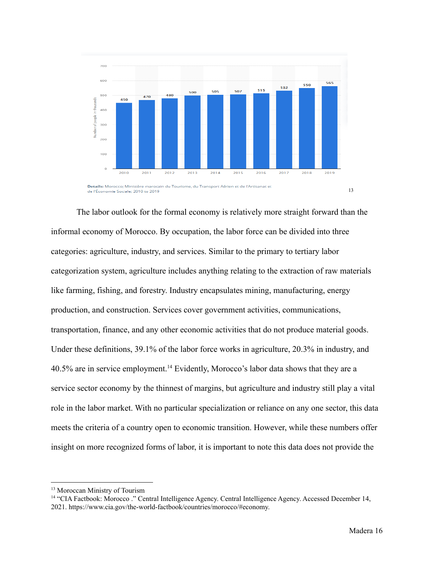

The labor outlook for the formal economy is relatively more straight forward than the informal economy of Morocco. By occupation, the labor force can be divided into three categories: agriculture, industry, and services. Similar to the primary to tertiary labor categorization system, agriculture includes anything relating to the extraction of raw materials like farming, fishing, and forestry. Industry encapsulates mining, manufacturing, energy production, and construction. Services cover government activities, communications, transportation, finance, and any other economic activities that do not produce material goods. Under these definitions, 39.1% of the labor force works in agriculture, 20.3% in industry, and 40.5% are in service employment.<sup>14</sup> Evidently, Morocco's labor data shows that they are a service sector economy by the thinnest of margins, but agriculture and industry still play a vital role in the labor market. With no particular specialization or reliance on any one sector, this data meets the criteria of a country open to economic transition. However, while these numbers offer insight on more recognized forms of labor, it is important to note this data does not provide the

<sup>&</sup>lt;sup>13</sup> Moroccan Ministry of Tourism

<sup>14</sup> "CIA Factbook: Morocco ." Central Intelligence Agency. Central Intelligence Agency. Accessed December 14, 2021. https://www.cia.gov/the-world-factbook/countries/morocco/#economy.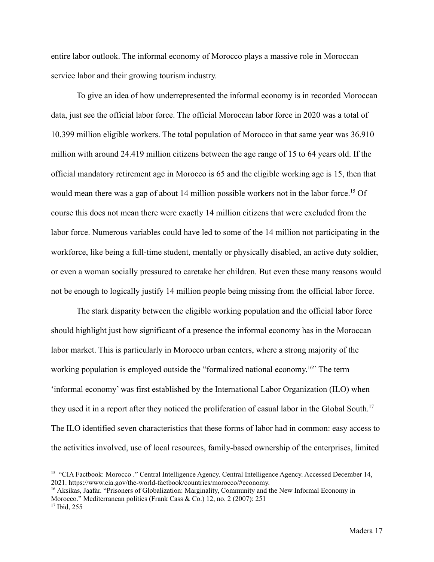entire labor outlook. The informal economy of Morocco plays a massive role in Moroccan service labor and their growing tourism industry.

To give an idea of how underrepresented the informal economy is in recorded Moroccan data, just see the official labor force. The official Moroccan labor force in 2020 was a total of 10.399 million eligible workers. The total population of Morocco in that same year was 36.910 million with around 24.419 million citizens between the age range of 15 to 64 years old. If the official mandatory retirement age in Morocco is 65 and the eligible working age is 15, then that would mean there was a gap of about 14 million possible workers not in the labor force.<sup>15</sup> Of course this does not mean there were exactly 14 million citizens that were excluded from the labor force. Numerous variables could have led to some of the 14 million not participating in the workforce, like being a full-time student, mentally or physically disabled, an active duty soldier, or even a woman socially pressured to caretake her children. But even these many reasons would not be enough to logically justify 14 million people being missing from the official labor force.

The stark disparity between the eligible working population and the official labor force should highlight just how significant of a presence the informal economy has in the Moroccan labor market. This is particularly in Morocco urban centers, where a strong majority of the working population is employed outside the "formalized national economy.<sup>16</sup>" The term 'informal economy' was first established by the International Labor Organization (ILO) when they used it in a report after they noticed the proliferation of casual labor in the Global South.<sup>17</sup> The ILO identified seven characteristics that these forms of labor had in common: easy access to the activities involved, use of local resources, family-based ownership of the enterprises, limited

<sup>&</sup>lt;sup>15</sup> "CIA Factbook: Morocco ." Central Intelligence Agency. Central Intelligence Agency. Accessed December 14, 2021. https://www.cia.gov/the-world-factbook/countries/morocco/#economy.

<sup>17</sup> Ibid, 255 <sup>16</sup> Aksikas, Jaafar. "Prisoners of Globalization: Marginality, Community and the New Informal Economy in Morocco." Mediterranean politics (Frank Cass & Co.) 12, no. 2 (2007): 251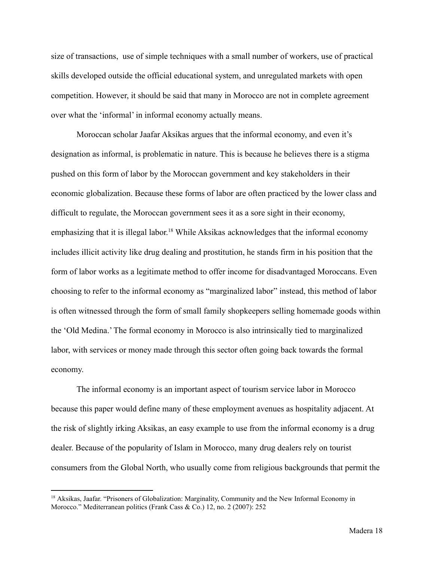size of transactions, use of simple techniques with a small number of workers, use of practical skills developed outside the official educational system, and unregulated markets with open competition. However, it should be said that many in Morocco are not in complete agreement over what the 'informal' in informal economy actually means.

Moroccan scholar Jaafar Aksikas argues that the informal economy, and even it's designation as informal, is problematic in nature. This is because he believes there is a stigma pushed on this form of labor by the Moroccan government and key stakeholders in their economic globalization. Because these forms of labor are often practiced by the lower class and difficult to regulate, the Moroccan government sees it as a sore sight in their economy, emphasizing that it is illegal labor.<sup>18</sup> While Aksikas acknowledges that the informal economy includes illicit activity like drug dealing and prostitution, he stands firm in his position that the form of labor works as a legitimate method to offer income for disadvantaged Moroccans. Even choosing to refer to the informal economy as "marginalized labor" instead, this method of labor is often witnessed through the form of small family shopkeepers selling homemade goods within the 'Old Medina.' The formal economy in Morocco is also intrinsically tied to marginalized labor, with services or money made through this sector often going back towards the formal economy.

The informal economy is an important aspect of tourism service labor in Morocco because this paper would define many of these employment avenues as hospitality adjacent. At the risk of slightly irking Aksikas, an easy example to use from the informal economy is a drug dealer. Because of the popularity of Islam in Morocco, many drug dealers rely on tourist consumers from the Global North, who usually come from religious backgrounds that permit the

<sup>&</sup>lt;sup>18</sup> Aksikas, Jaafar. "Prisoners of Globalization: Marginality, Community and the New Informal Economy in Morocco." Mediterranean politics (Frank Cass & Co.) 12, no. 2 (2007): 252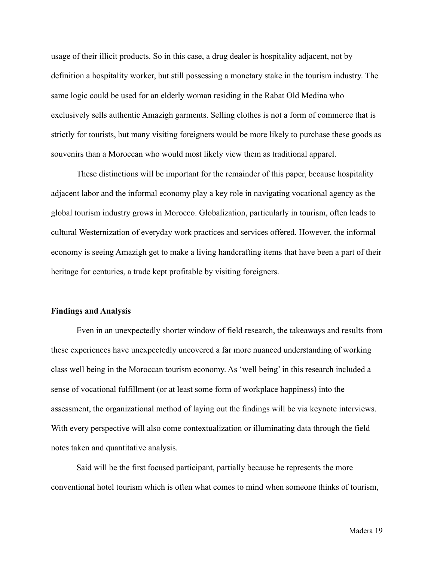usage of their illicit products. So in this case, a drug dealer is hospitality adjacent, not by definition a hospitality worker, but still possessing a monetary stake in the tourism industry. The same logic could be used for an elderly woman residing in the Rabat Old Medina who exclusively sells authentic Amazigh garments. Selling clothes is not a form of commerce that is strictly for tourists, but many visiting foreigners would be more likely to purchase these goods as souvenirs than a Moroccan who would most likely view them as traditional apparel.

These distinctions will be important for the remainder of this paper, because hospitality adjacent labor and the informal economy play a key role in navigating vocational agency as the global tourism industry grows in Morocco. Globalization, particularly in tourism, often leads to cultural Westernization of everyday work practices and services offered. However, the informal economy is seeing Amazigh get to make a living handcrafting items that have been a part of their heritage for centuries, a trade kept profitable by visiting foreigners.

#### **Findings and Analysis**

Even in an unexpectedly shorter window of field research, the takeaways and results from these experiences have unexpectedly uncovered a far more nuanced understanding of working class well being in the Moroccan tourism economy. As 'well being' in this research included a sense of vocational fulfillment (or at least some form of workplace happiness) into the assessment, the organizational method of laying out the findings will be via keynote interviews. With every perspective will also come contextualization or illuminating data through the field notes taken and quantitative analysis.

Said will be the first focused participant, partially because he represents the more conventional hotel tourism which is often what comes to mind when someone thinks of tourism,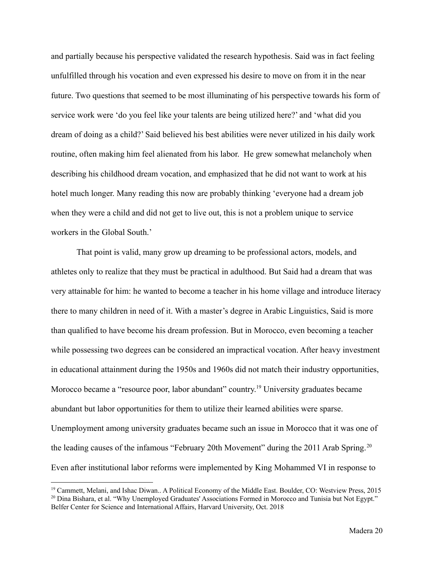and partially because his perspective validated the research hypothesis. Said was in fact feeling unfulfilled through his vocation and even expressed his desire to move on from it in the near future. Two questions that seemed to be most illuminating of his perspective towards his form of service work were 'do you feel like your talents are being utilized here?' and 'what did you dream of doing as a child?' Said believed his best abilities were never utilized in his daily work routine, often making him feel alienated from his labor. He grew somewhat melancholy when describing his childhood dream vocation, and emphasized that he did not want to work at his hotel much longer. Many reading this now are probably thinking 'everyone had a dream job when they were a child and did not get to live out, this is not a problem unique to service workers in the Global South.'

That point is valid, many grow up dreaming to be professional actors, models, and athletes only to realize that they must be practical in adulthood. But Said had a dream that was very attainable for him: he wanted to become a teacher in his home village and introduce literacy there to many children in need of it. With a master's degree in Arabic Linguistics, Said is more than qualified to have become his dream profession. But in Morocco, even becoming a teacher while possessing two degrees can be considered an impractical vocation. After heavy investment in educational attainment during the 1950s and 1960s did not match their industry opportunities, Morocco became a "resource poor, labor abundant" country.<sup>19</sup> University graduates became abundant but labor opportunities for them to utilize their learned abilities were sparse. Unemployment among university graduates became such an issue in Morocco that it was one of the leading causes of the infamous "February 20th Movement" during the 2011 Arab Spring.<sup>20</sup> Even after institutional labor reforms were implemented by King Mohammed VI in response to

<sup>&</sup>lt;sup>20</sup> Dina Bishara, et al. "Why Unemployed Graduates' Associations Formed in Morocco and Tunisia but Not Egypt." Belfer Center for Science and International Affairs, Harvard University, Oct. 2018 <sup>19</sup> Cammett, Melani, and Ishac Diwan.. A Political Economy of the Middle East. Boulder, CO: Westview Press, 2015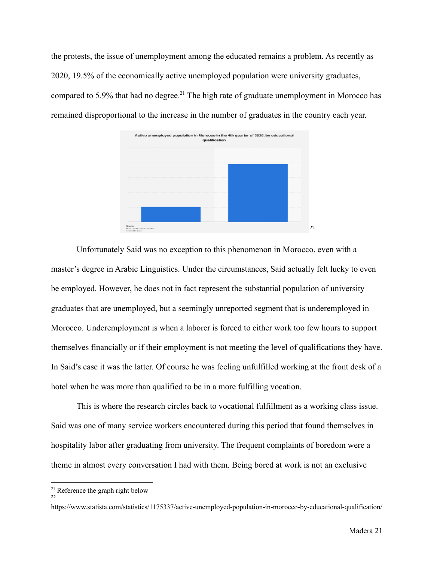the protests, the issue of unemployment among the educated remains a problem. As recently as 2020, 19.5% of the economically active unemployed population were university graduates, compared to 5.9% that had no degree.<sup>21</sup> The high rate of graduate unemployment in Morocco has remained disproportional to the increase in the number of graduates in the country each year.



Unfortunately Said was no exception to this phenomenon in Morocco, even with a master's degree in Arabic Linguistics. Under the circumstances, Said actually felt lucky to even be employed. However, he does not in fact represent the substantial population of university graduates that are unemployed, but a seemingly unreported segment that is underemployed in Morocco. Underemployment is when a laborer is forced to either work too few hours to support themselves financially or if their employment is not meeting the level of qualifications they have. In Said's case it was the latter. Of course he was feeling unfulfilled working at the front desk of a hotel when he was more than qualified to be in a more fulfilling vocation.

This is where the research circles back to vocational fulfillment as a working class issue. Said was one of many service workers encountered during this period that found themselves in hospitality labor after graduating from university. The frequent complaints of boredom were a theme in almost every conversation I had with them. Being bored at work is not an exclusive

22

<sup>&</sup>lt;sup>21</sup> Reference the graph right below

https://www.statista.com/statistics/1175337/active-unemployed-population-in-morocco-by-educational-qualification/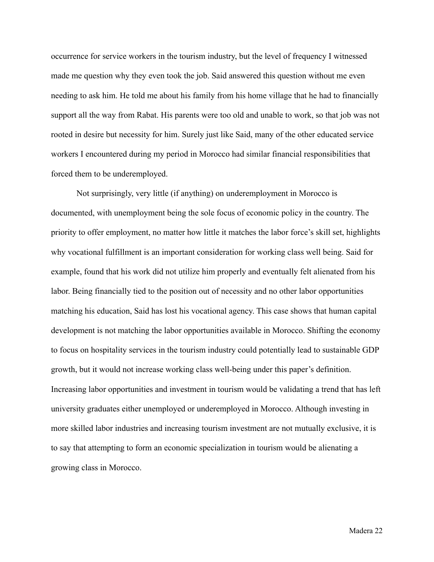occurrence for service workers in the tourism industry, but the level of frequency I witnessed made me question why they even took the job. Said answered this question without me even needing to ask him. He told me about his family from his home village that he had to financially support all the way from Rabat. His parents were too old and unable to work, so that job was not rooted in desire but necessity for him. Surely just like Said, many of the other educated service workers I encountered during my period in Morocco had similar financial responsibilities that forced them to be underemployed.

Not surprisingly, very little (if anything) on underemployment in Morocco is documented, with unemployment being the sole focus of economic policy in the country. The priority to offer employment, no matter how little it matches the labor force's skill set, highlights why vocational fulfillment is an important consideration for working class well being. Said for example, found that his work did not utilize him properly and eventually felt alienated from his labor. Being financially tied to the position out of necessity and no other labor opportunities matching his education, Said has lost his vocational agency. This case shows that human capital development is not matching the labor opportunities available in Morocco. Shifting the economy to focus on hospitality services in the tourism industry could potentially lead to sustainable GDP growth, but it would not increase working class well-being under this paper's definition. Increasing labor opportunities and investment in tourism would be validating a trend that has left university graduates either unemployed or underemployed in Morocco. Although investing in more skilled labor industries and increasing tourism investment are not mutually exclusive, it is to say that attempting to form an economic specialization in tourism would be alienating a growing class in Morocco.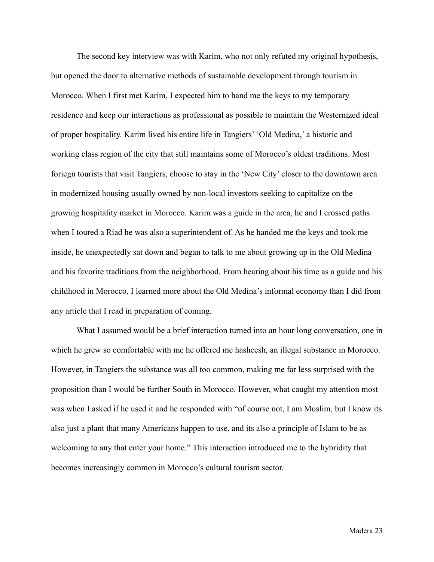The second key interview was with Karim, who not only refuted my original hypothesis, but opened the door to alternative methods of sustainable development through tourism in Morocco. When I first met Karim, I expected him to hand me the keys to my temporary residence and keep our interactions as professional as possible to maintain the Westernized ideal of proper hospitality. Karim lived his entire life in Tangiers' 'Old Medina,' a historic and working class region of the city that still maintains some of Morocco's oldest traditions. Most foriegn tourists that visit Tangiers, choose to stay in the 'New City' closer to the downtown area in modernized housing usually owned by non-local investors seeking to capitalize on the growing hospitality market in Morocco. Karim was a guide in the area, he and I crossed paths when I toured a Riad he was also a superintendent of. As he handed me the keys and took me inside, he unexpectedly sat down and began to talk to me about growing up in the Old Medina and his favorite traditions from the neighborhood. From hearing about his time as a guide and his childhood in Morocco, I learned more about the Old Medina's informal economy than I did from any article that I read in preparation of coming.

What I assumed would be a brief interaction turned into an hour long conversation, one in which he grew so comfortable with me he offered me hasheesh, an illegal substance in Morocco. However, in Tangiers the substance was all too common, making me far less surprised with the proposition than I would be further South in Morocco. However, what caught my attention most was when I asked if he used it and he responded with "of course not, I am Muslim, but I know its also just a plant that many Americans happen to use, and its also a principle of Islam to be as welcoming to any that enter your home." This interaction introduced me to the hybridity that becomes increasingly common in Morocco's cultural tourism sector.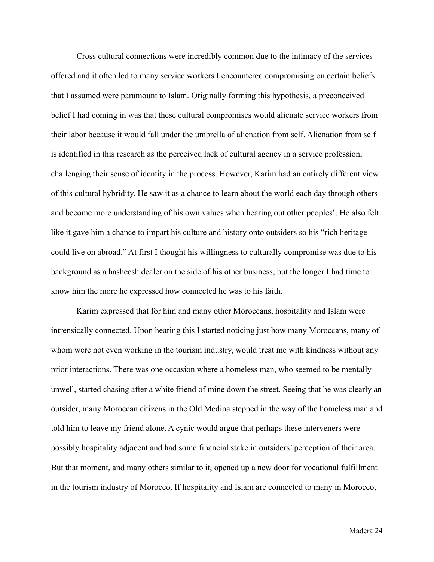Cross cultural connections were incredibly common due to the intimacy of the services offered and it often led to many service workers I encountered compromising on certain beliefs that I assumed were paramount to Islam. Originally forming this hypothesis, a preconceived belief I had coming in was that these cultural compromises would alienate service workers from their labor because it would fall under the umbrella of alienation from self. Alienation from self is identified in this research as the perceived lack of cultural agency in a service profession, challenging their sense of identity in the process. However, Karim had an entirely different view of this cultural hybridity. He saw it as a chance to learn about the world each day through others and become more understanding of his own values when hearing out other peoples'. He also felt like it gave him a chance to impart his culture and history onto outsiders so his "rich heritage could live on abroad." At first I thought his willingness to culturally compromise was due to his background as a hasheesh dealer on the side of his other business, but the longer I had time to know him the more he expressed how connected he was to his faith.

Karim expressed that for him and many other Moroccans, hospitality and Islam were intrensically connected. Upon hearing this I started noticing just how many Moroccans, many of whom were not even working in the tourism industry, would treat me with kindness without any prior interactions. There was one occasion where a homeless man, who seemed to be mentally unwell, started chasing after a white friend of mine down the street. Seeing that he was clearly an outsider, many Moroccan citizens in the Old Medina stepped in the way of the homeless man and told him to leave my friend alone. A cynic would argue that perhaps these interveners were possibly hospitality adjacent and had some financial stake in outsiders' perception of their area. But that moment, and many others similar to it, opened up a new door for vocational fulfillment in the tourism industry of Morocco. If hospitality and Islam are connected to many in Morocco,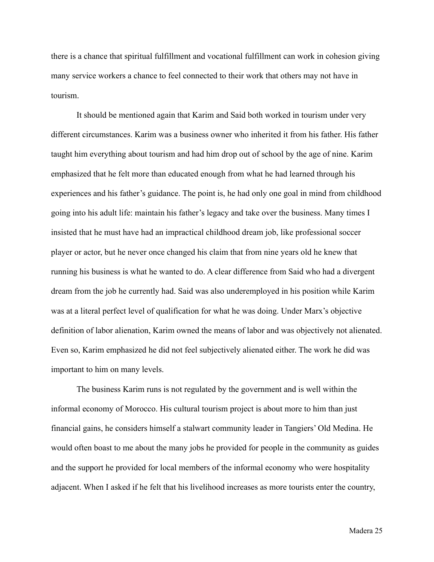there is a chance that spiritual fulfillment and vocational fulfillment can work in cohesion giving many service workers a chance to feel connected to their work that others may not have in tourism.

It should be mentioned again that Karim and Said both worked in tourism under very different circumstances. Karim was a business owner who inherited it from his father. His father taught him everything about tourism and had him drop out of school by the age of nine. Karim emphasized that he felt more than educated enough from what he had learned through his experiences and his father's guidance. The point is, he had only one goal in mind from childhood going into his adult life: maintain his father's legacy and take over the business. Many times I insisted that he must have had an impractical childhood dream job, like professional soccer player or actor, but he never once changed his claim that from nine years old he knew that running his business is what he wanted to do. A clear difference from Said who had a divergent dream from the job he currently had. Said was also underemployed in his position while Karim was at a literal perfect level of qualification for what he was doing. Under Marx's objective definition of labor alienation, Karim owned the means of labor and was objectively not alienated. Even so, Karim emphasized he did not feel subjectively alienated either. The work he did was important to him on many levels.

The business Karim runs is not regulated by the government and is well within the informal economy of Morocco. His cultural tourism project is about more to him than just financial gains, he considers himself a stalwart community leader in Tangiers' Old Medina. He would often boast to me about the many jobs he provided for people in the community as guides and the support he provided for local members of the informal economy who were hospitality adjacent. When I asked if he felt that his livelihood increases as more tourists enter the country,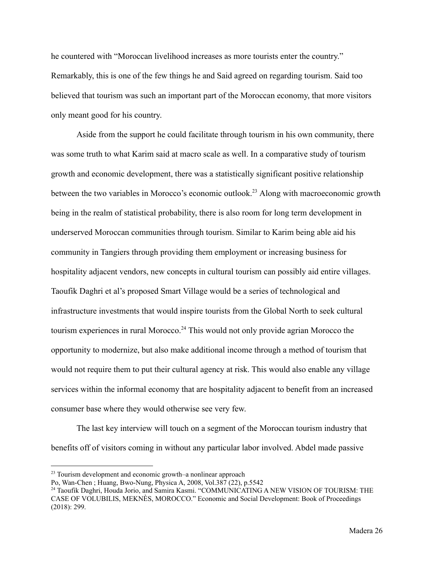he countered with "Moroccan livelihood increases as more tourists enter the country." Remarkably, this is one of the few things he and Said agreed on regarding tourism. Said too believed that tourism was such an important part of the Moroccan economy, that more visitors only meant good for his country.

Aside from the support he could facilitate through tourism in his own community, there was some truth to what Karim said at macro scale as well. In a comparative study of tourism growth and economic development, there was a statistically significant positive relationship between the two variables in Morocco's economic outlook.<sup>23</sup> Along with macroeconomic growth being in the realm of statistical probability, there is also room for long term development in underserved Moroccan communities through tourism. Similar to Karim being able aid his community in Tangiers through providing them employment or increasing business for hospitality adjacent vendors, new concepts in cultural tourism can possibly aid entire villages. Taoufik Daghri et al's proposed Smart Village would be a series of technological and infrastructure investments that would inspire tourists from the Global North to seek cultural tourism experiences in rural Morocco.<sup>24</sup> This would not only provide agrian Morocco the opportunity to modernize, but also make additional income through a method of tourism that would not require them to put their cultural agency at risk. This would also enable any village services within the informal economy that are hospitality adjacent to benefit from an increased consumer base where they would otherwise see very few.

The last key interview will touch on a segment of the Moroccan tourism industry that benefits off of visitors coming in without any particular labor involved. Abdel made passive

<sup>&</sup>lt;sup>23</sup> Tourism development and economic growth–a nonlinear approach

Po, Wan-Chen ; Huang, Bwo-Nung, Physica A, 2008, Vol.387 (22), p.5542

<sup>&</sup>lt;sup>24</sup> Taoufik Daghri, Houda Jorio, and Samira Kasmi. "COMMUNICATING A NEW VISION OF TOURISM: THE CASE OF VOLUBILIS, MEKNÈS, MOROCCO." Economic and Social Development: Book of Proceedings (2018): 299.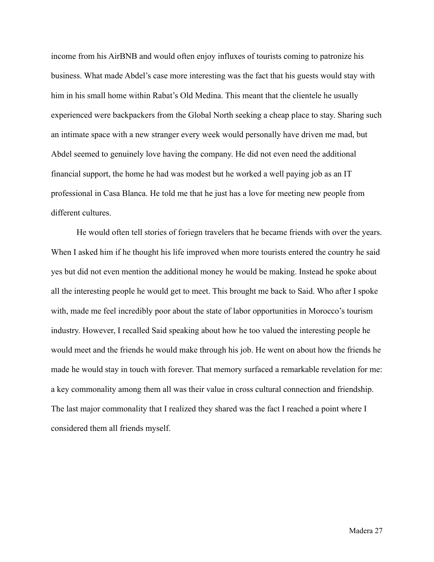income from his AirBNB and would often enjoy influxes of tourists coming to patronize his business. What made Abdel's case more interesting was the fact that his guests would stay with him in his small home within Rabat's Old Medina. This meant that the clientele he usually experienced were backpackers from the Global North seeking a cheap place to stay. Sharing such an intimate space with a new stranger every week would personally have driven me mad, but Abdel seemed to genuinely love having the company. He did not even need the additional financial support, the home he had was modest but he worked a well paying job as an IT professional in Casa Blanca. He told me that he just has a love for meeting new people from different cultures.

He would often tell stories of foriegn travelers that he became friends with over the years. When I asked him if he thought his life improved when more tourists entered the country he said yes but did not even mention the additional money he would be making. Instead he spoke about all the interesting people he would get to meet. This brought me back to Said. Who after I spoke with, made me feel incredibly poor about the state of labor opportunities in Morocco's tourism industry. However, I recalled Said speaking about how he too valued the interesting people he would meet and the friends he would make through his job. He went on about how the friends he made he would stay in touch with forever. That memory surfaced a remarkable revelation for me: a key commonality among them all was their value in cross cultural connection and friendship. The last major commonality that I realized they shared was the fact I reached a point where I considered them all friends myself.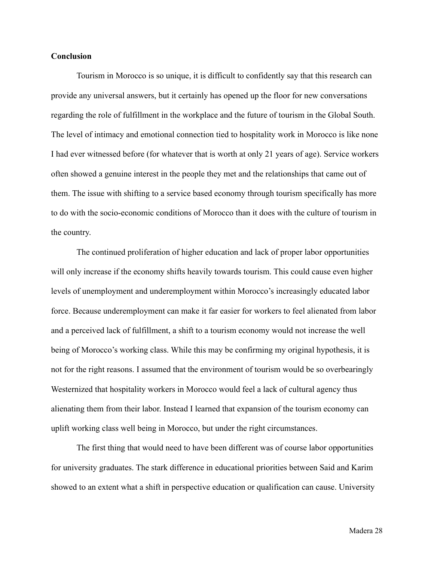#### **Conclusion**

Tourism in Morocco is so unique, it is difficult to confidently say that this research can provide any universal answers, but it certainly has opened up the floor for new conversations regarding the role of fulfillment in the workplace and the future of tourism in the Global South. The level of intimacy and emotional connection tied to hospitality work in Morocco is like none I had ever witnessed before (for whatever that is worth at only 21 years of age). Service workers often showed a genuine interest in the people they met and the relationships that came out of them. The issue with shifting to a service based economy through tourism specifically has more to do with the socio-economic conditions of Morocco than it does with the culture of tourism in the country.

The continued proliferation of higher education and lack of proper labor opportunities will only increase if the economy shifts heavily towards tourism. This could cause even higher levels of unemployment and underemployment within Morocco's increasingly educated labor force. Because underemployment can make it far easier for workers to feel alienated from labor and a perceived lack of fulfillment, a shift to a tourism economy would not increase the well being of Morocco's working class. While this may be confirming my original hypothesis, it is not for the right reasons. I assumed that the environment of tourism would be so overbearingly Westernized that hospitality workers in Morocco would feel a lack of cultural agency thus alienating them from their labor. Instead I learned that expansion of the tourism economy can uplift working class well being in Morocco, but under the right circumstances.

The first thing that would need to have been different was of course labor opportunities for university graduates. The stark difference in educational priorities between Said and Karim showed to an extent what a shift in perspective education or qualification can cause. University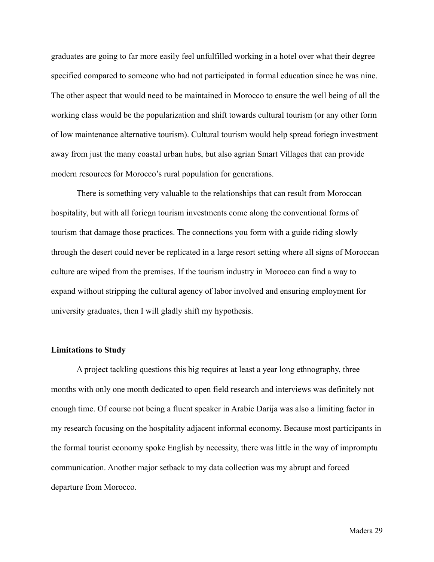graduates are going to far more easily feel unfulfilled working in a hotel over what their degree specified compared to someone who had not participated in formal education since he was nine. The other aspect that would need to be maintained in Morocco to ensure the well being of all the working class would be the popularization and shift towards cultural tourism (or any other form of low maintenance alternative tourism). Cultural tourism would help spread foriegn investment away from just the many coastal urban hubs, but also agrian Smart Villages that can provide modern resources for Morocco's rural population for generations.

There is something very valuable to the relationships that can result from Moroccan hospitality, but with all foriegn tourism investments come along the conventional forms of tourism that damage those practices. The connections you form with a guide riding slowly through the desert could never be replicated in a large resort setting where all signs of Moroccan culture are wiped from the premises. If the tourism industry in Morocco can find a way to expand without stripping the cultural agency of labor involved and ensuring employment for university graduates, then I will gladly shift my hypothesis.

#### **Limitations to Study**

A project tackling questions this big requires at least a year long ethnography, three months with only one month dedicated to open field research and interviews was definitely not enough time. Of course not being a fluent speaker in Arabic Darija was also a limiting factor in my research focusing on the hospitality adjacent informal economy. Because most participants in the formal tourist economy spoke English by necessity, there was little in the way of impromptu communication. Another major setback to my data collection was my abrupt and forced departure from Morocco.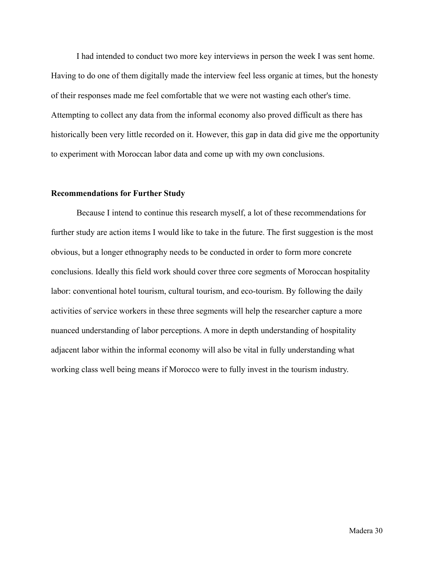I had intended to conduct two more key interviews in person the week I was sent home. Having to do one of them digitally made the interview feel less organic at times, but the honesty of their responses made me feel comfortable that we were not wasting each other's time. Attempting to collect any data from the informal economy also proved difficult as there has historically been very little recorded on it. However, this gap in data did give me the opportunity to experiment with Moroccan labor data and come up with my own conclusions.

#### **Recommendations for Further Study**

Because I intend to continue this research myself, a lot of these recommendations for further study are action items I would like to take in the future. The first suggestion is the most obvious, but a longer ethnography needs to be conducted in order to form more concrete conclusions. Ideally this field work should cover three core segments of Moroccan hospitality labor: conventional hotel tourism, cultural tourism, and eco-tourism. By following the daily activities of service workers in these three segments will help the researcher capture a more nuanced understanding of labor perceptions. A more in depth understanding of hospitality adjacent labor within the informal economy will also be vital in fully understanding what working class well being means if Morocco were to fully invest in the tourism industry.